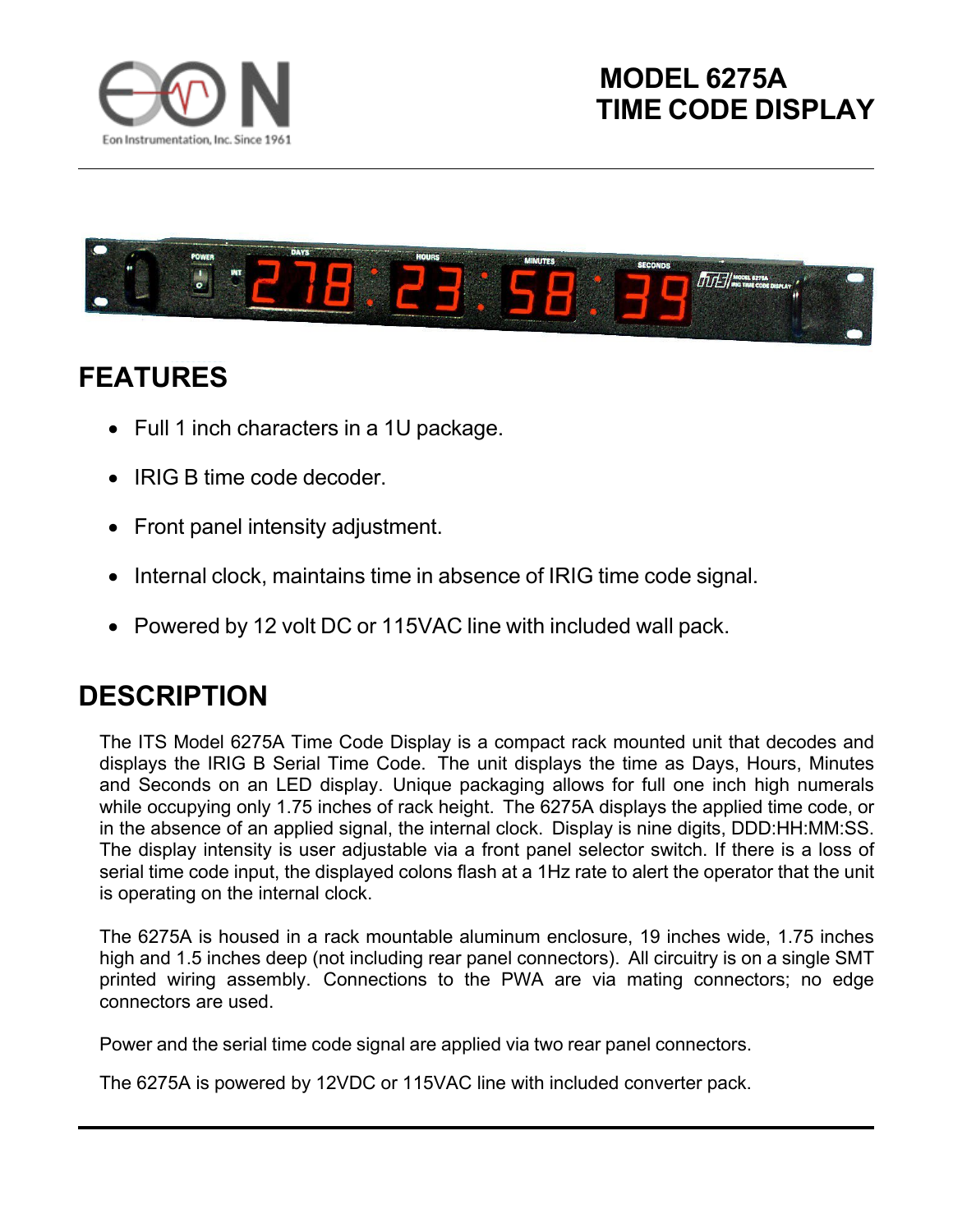



## **FEATURES**

- Full 1 inch characters in a 1U package.
- IRIG B time code decoder.
- Front panel intensity adjustment.
- Internal clock, maintains time in absence of IRIG time code signal.
- Powered by 12 volt DC or 115VAC line with included wall pack.

## **DESCRIPTION**

The ITS Model 6275A Time Code Display is a compact rack mounted unit that decodes and displays the IRIG B Serial Time Code. The unit displays the time as Days, Hours, Minutes and Seconds on an LED display. Unique packaging allows for full one inch high numerals while occupying only 1.75 inches of rack height. The 6275A displays the applied time code, or in the absence of an applied signal, the internal clock. Display is nine digits, DDD:HH:MM:SS. The display intensity is user adjustable via a front panel selector switch. If there is a loss of serial time code input, the displayed colons flash at a 1Hz rate to alert the operator that the unit is operating on the internal clock.

The 6275A is housed in a rack mountable aluminum enclosure, 19 inches wide, 1.75 inches high and 1.5 inches deep (not including rear panel connectors). All circuitry is on a single SMT printed wiring assembly. Connections to the PWA are via mating connectors; no edge connectors are used.

Power and the serial time code signal are applied via two rear panel connectors.

The 6275A is powered by 12VDC or 115VAC line with included converter pack.